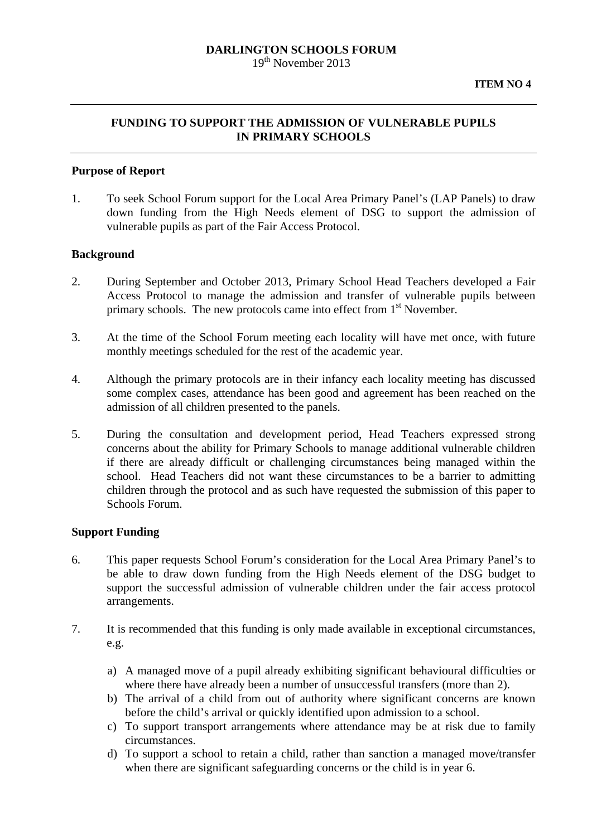### **DARLINGTON SCHOOLS FORUM**  19th November 2013

# **FUNDING TO SUPPORT THE ADMISSION OF VULNERABLE PUPILS IN PRIMARY SCHOOLS**

## **Purpose of Report**

1. To seek School Forum support for the Local Area Primary Panel's (LAP Panels) to draw down funding from the High Needs element of DSG to support the admission of vulnerable pupils as part of the Fair Access Protocol.

## **Background**

- 2. During September and October 2013, Primary School Head Teachers developed a Fair Access Protocol to manage the admission and transfer of vulnerable pupils between primary schools. The new protocols came into effect from  $1<sup>st</sup>$  November.
- 3. At the time of the School Forum meeting each locality will have met once, with future monthly meetings scheduled for the rest of the academic year.
- 4. Although the primary protocols are in their infancy each locality meeting has discussed some complex cases, attendance has been good and agreement has been reached on the admission of all children presented to the panels.
- 5. During the consultation and development period, Head Teachers expressed strong concerns about the ability for Primary Schools to manage additional vulnerable children if there are already difficult or challenging circumstances being managed within the school. Head Teachers did not want these circumstances to be a barrier to admitting children through the protocol and as such have requested the submission of this paper to Schools Forum.

## **Support Funding**

- 6. This paper requests School Forum's consideration for the Local Area Primary Panel's to be able to draw down funding from the High Needs element of the DSG budget to support the successful admission of vulnerable children under the fair access protocol arrangements.
- 7. It is recommended that this funding is only made available in exceptional circumstances, e.g.
	- a) A managed move of a pupil already exhibiting significant behavioural difficulties or where there have already been a number of unsuccessful transfers (more than 2).
	- b) The arrival of a child from out of authority where significant concerns are known before the child's arrival or quickly identified upon admission to a school.
	- c) To support transport arrangements where attendance may be at risk due to family circumstances.
	- d) To support a school to retain a child, rather than sanction a managed move/transfer when there are significant safeguarding concerns or the child is in year 6.